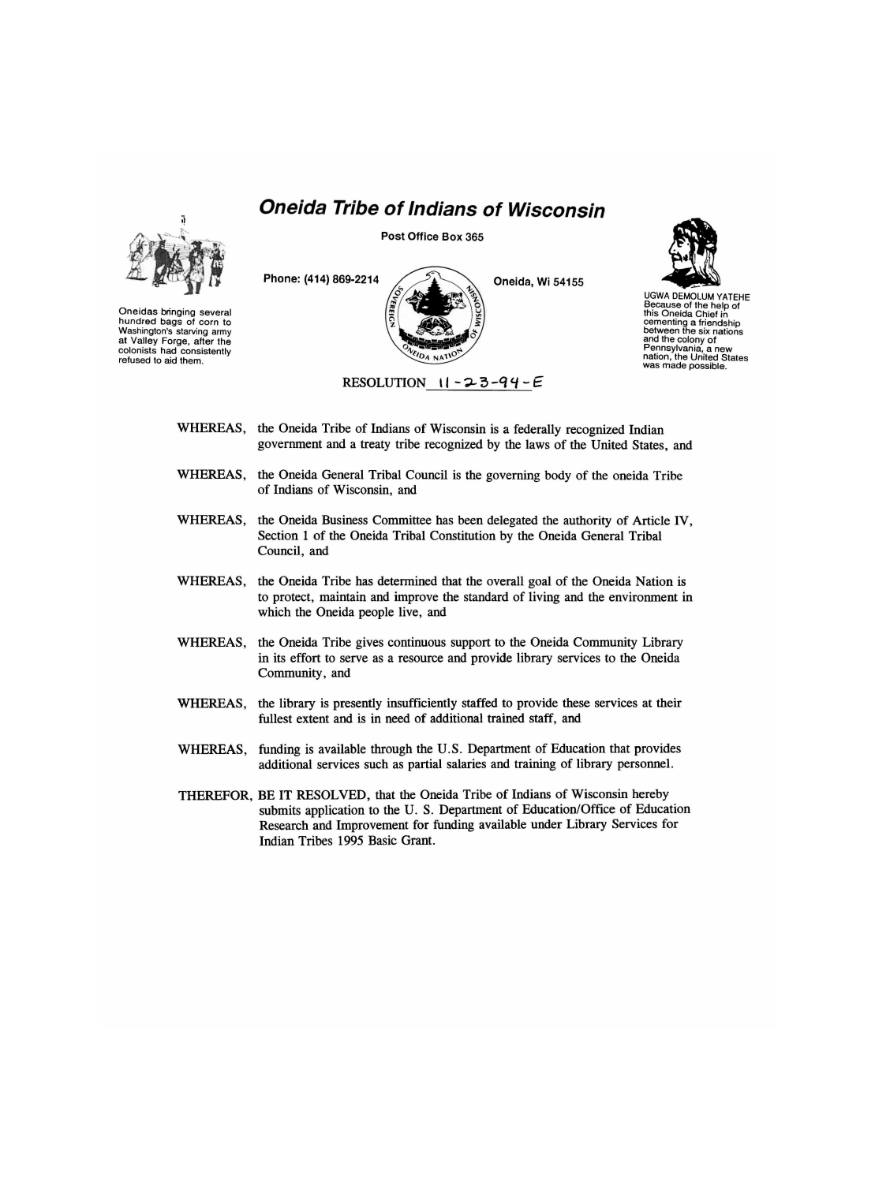## *Oneida Tribe of Indians of Wisconsin*



Oneidas bringing several hundred bags of corn to Washington's starving army at Valley Forge, after the colonists had consistently refused to aid them.

**Post Office Box 365** 





UGWA DEMOLUM YATEHE Because of the help of this Oneida Chief in cementing a friendship between the six nations and the colony of Pennsylvania, a new nation, the United States was made possible.

- WHEREAS, the Oneida Tribe of Indians of Wisconsin is a federally recognized Indian government and a treaty tribe recognized by the laws of the United States, and
- WHEREAS, the Oneida General Tribal Council is the governing body of the oneida Tribe of Indians of Wisconsin, and
- WHEREAS, the Oneida Business Committee has been delegated the authority of Article IV, Section 1 of the Oneida Tribal Constitution by the Oneida General Tribal Council, and
- WHEREAS, the Oneida Tribe has determined that the overall goal of the Oneida Nation is to protect, maintain and improve the standard of living and the environment in which the Oneida people live, and
- WHEREAS, the Oneida Tribe gives continuous support to the Oneida Community Library in its effort to serve as a resource and provide library services to the Oneida Community, and
- WHEREAS, the library is presently insufficiently staffed to provide these services at their fullest extent and is in need of additional trained staff, and
- WHEREAS, funding is available through the U.S. Department of Education that provides additional services such as partial salaries and training of library personnel.
- THEREFOR, BE IT RESOLVED, that the Oneida Tribe of Indians of Wisconsin hereby submits application to the U. S. Department of Education/Office of Education Research and Improvement for funding available under Library Services for Indian Tribes 1995 Basic Grant.